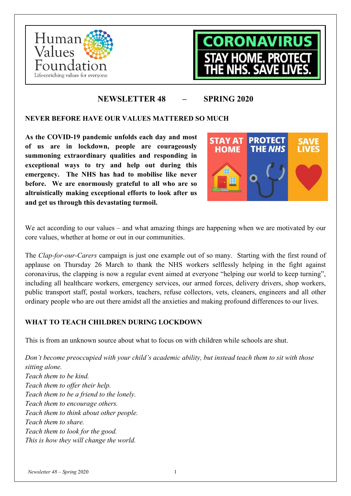



# **NEWSLETTER 48 – SPRING 2020**

## **NEVER BEFORE HAVE OUR VALUES MATTERED SO MUCH**

**As the COVID-19 pandemic unfolds each day and most of us are in lockdown, people are courageously summoning extraordinary qualities and responding in exceptional ways to try and help out during this emergency. The NHS has had to mobilise like never before. We are enormously grateful to all who are so altruistically making exceptional efforts to look after us and get us through this devastating turmoil.**



We act according to our values – and what amazing things are happening when we are motivated by our core values, whether at home or out in our communities.

The *Clap-for-our-Carers* campaign is just one example out of so many. Starting with the first round of applause on Thursday 26 March to thank the NHS workers selflessly helping in the fight against coronavirus, the clapping is now a regular event aimed at everyone "helping our world to keep turning", including all healthcare workers, emergency services, our armed forces, delivery drivers, shop workers, public transport staff, postal workers, teachers, refuse collectors, vets, cleaners, engineers and all other ordinary people who are out there amidst all the anxieties and making profound differences to our lives.

# **WHAT TO TEACH CHILDREN DURING LOCKDOWN**

This is from an unknown source about what to focus on with children while schools are shut.

*Don't become preoccupied with your child's academic ability, but instead teach them to sit with those sitting alone. Teach them to be kind. Teach them to offer their help. Teach them to be a friend to the lonely. Teach them to encourage others. Teach them to think about other people. Teach them to share. Teach them to look for the good. This is how they will change the world.*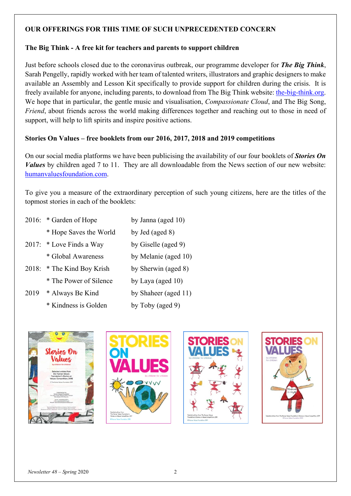## **OUR OFFERINGS FOR THIS TIME OF SUCH UNPRECEDENTED CONCERN**

## **The Big Think - A free kit for teachers and parents to support children**

Just before schools closed due to the coronavirus outbreak, our programme developer for *The Big Think*, Sarah Pengelly, rapidly worked with her team of talented writers, illustrators and graphic designers to make available an Assembly and Lesson Kit specifically to provide support for children during the crisis. It is freely available for anyone, including parents, to download from The Big Think website: [the-big-think.org.](http://the-big-think.org/) We hope that in particular, the gentle music and visualisation, *Compassionate Cloud*, and The Big Song, *Friend*, about friends across the world making differences together and reaching out to those in need of support, will help to lift spirits and inspire positive actions.

## **Stories On Values – free booklets from our 2016, 2017, 2018 and 2019 competitions**

On our social media platforms we have been publicising the availability of our four booklets of *Stories On Values* by children aged 7 to 11. They are all downloadable from the News section of our new website: [humanvaluesfoundation.com.](http://humanvaluesfoundation.com/news/2019-stories-on-values-competition)

To give you a measure of the extraordinary perception of such young citizens, here are the titles of the topmost stories in each of the booklets:

|      | 2016: * Garden of Hope     | by Janna (aged 10)   |
|------|----------------------------|----------------------|
|      | * Hope Saves the World     | by Jed (aged 8)      |
|      | 2017: * Love Finds a Way   | by Giselle (aged 9)  |
|      | * Global Awareness         | by Melanie (aged 10) |
|      | 2018: * The Kind Boy Krish | by Sherwin (aged 8)  |
|      | * The Power of Silence     | by Laya (aged $10$ ) |
| 2019 | * Always Be Kind           | by Shaheer (aged 11) |

\* Kindness is Golden by Toby (aged 9)







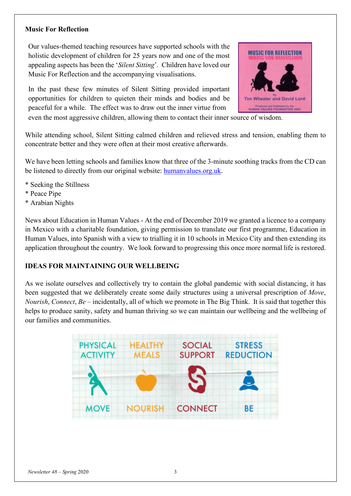#### **Music For Reflection**

Our values-themed teaching resources have supported schools with the holistic development of children for 25 years now and one of the most appealing aspects has been the '*Silent Sitting*'. Children have loved our Music For Reflection and the accompanying visualisations.

In the past these few minutes of Silent Sitting provided important opportunities for children to quieten their minds and bodies and be peaceful for a while. The effect was to draw out the inner virtue from



even the most aggressive children, allowing them to contact their inner source of wisdom.

While attending school, Silent Sitting calmed children and relieved stress and tension, enabling them to concentrate better and they were often at their most creative afterwards.

We have been letting schools and families know that three of the 3-minute soothing tracks from the CD can be listened to directly from our original website: [humanvalues.org.uk.](https://www.humanvalues.org.uk/music-for-reflection.html)

- \* Seeking the Stillness
- \* Peace Pipe
- \* Arabian Nights

News about Education in Human Values - At the end of December 2019 we granted a licence to a company in Mexico with a charitable foundation, giving permission to translate our first programme, Education in Human Values, into Spanish with a view to trialling it in 10 schools in Mexico City and then extending its application throughout the country. We look forward to progressing this once more normal life is restored.

## **IDEAS FOR MAINTAINING OUR WELLBEING**

As we isolate ourselves and collectively try to contain the global pandemic with social distancing, it has been suggested that we deliberately create some daily structures using a universal prescription of *Move*, *Nourish*, *Connect*, *Be* – incidentally, all of which we promote in The Big Think. It is said that together this helps to produce sanity, safety and human thriving so we can maintain our wellbeing and the wellbeing of our families and communities.

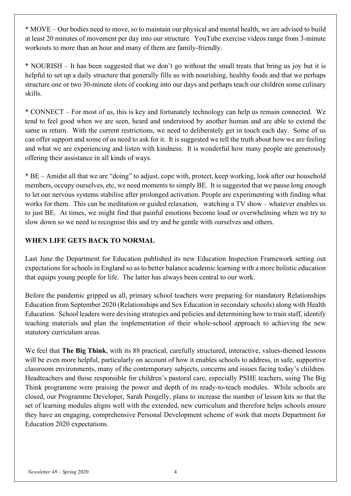\* MOVE – Our bodies need to move, so to maintain our physical and mental health, we are advised to build at least 20 minutes of movement per day into our structure. YouTube exercise videos range from 3-minute workouts to more than an hour and many of them are family-friendly.

\* NOURISH – It has been suggested that we don't go without the small treats that bring us joy but it is helpful to set up a daily structure that generally fills us with nourishing, healthy foods and that we perhaps structure one or two 30-minute slots of cooking into our days and perhaps teach our children some culinary skills.

\* CONNECT – For most of us, this is key and fortunately technology can help us remain connected. We tend to feel good when we are seen, heard and understood by another human and are able to extend the same in return. With the current restrictions, we need to deliberately get in touch each day. Some of us can offer support and some of us need to ask for it. It is suggested we tell the truth about how we are feeling and what we are experiencing and listen with kindness. It is wonderful how many people are generously offering their assistance in all kinds of ways.

\* BE – Amidst all that we are "doing" to adjust, cope with, protect, keep working, look after our household members, occupy ourselves, etc, we need moments to simply BE. It is suggested that we pause long enough to let our nervous systems stabilise after prolonged activation. People are experimenting with finding what works for them. This can be meditation or guided relaxation, watching a TV show – whatever enables us to just BE. At times, we might find that painful emotions become loud or overwhelming when we try to slow down so we need to recognise this and try and be gentle with ourselves and others.

## **WHEN LIFE GETS BACK TO NORMAL**

Last June the Department for Education published its new Education Inspection Framework setting out expectations for schools in England so as to better balance academic learning with a more holistic education that equips young people for life. The latter has always been central to our work.

Before the pandemic gripped us all, primary school teachers were preparing for mandatory Relationships Education from September 2020 (Relationships and Sex Education in secondary schools) along with Health Education. School leaders were devising strategies and policies and determining how to train staff, identify teaching materials and plan the implementation of their whole-school approach to achieving the new statutory curriculum areas.

We feel that **The Big Think**, with its 88 practical, carefully structured, interactive, values-themed lessons will be even more helpful, particularly on account of how it enables schools to address, in safe, supportive classroom environments, many of the contemporary subjects, concerns and issues facing today's children. Headteachers and those responsible for children's pastoral care, especially PSHE teachers, using The Big Think programme were praising the power and depth of its ready-to-teach modules. While schools are closed, our Programme Developer, Sarah Pengelly, plans to increase the number of lesson kits so that the set of learning modules aligns well with the extended, new curriculum and therefore helps schools ensure they have an engaging, comprehensive Personal Development scheme of work that meets Department for Education 2020 expectations.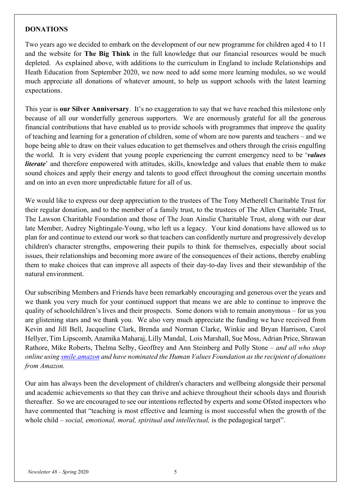#### **DONATIONS**

Two years ago we decided to embark on the development of our new programme for children aged 4 to 11 and the website for **The Big Think** in the full knowledge that our financial resources would be much depleted. As explained above, with additions to the curriculum in England to include Relationships and Heath Education from September 2020, we now need to add some more learning modules, so we would much appreciate all donations of whatever amount, to help us support schools with the latest learning expectations.

This year is **our Silver Anniversary**. It's no exaggeration to say that we have reached this milestone only because of all our wonderfully generous supporters. We are enormously grateful for all the generous financial contributions that have enabled us to provide schools with programmes that improve the quality of teaching and learning for a generation of children, some of whom are now parents and teachers – and we hope being able to draw on their values education to get themselves and others through the crisis engulfing the world. It is very evident that young people experiencing the current emergency need to be '*values literate*' and therefore empowered with attitudes, skills, knowledge and values that enable them to make sound choices and apply their energy and talents to good effect throughout the coming uncertain months and on into an even more unpredictable future for all of us.

We would like to express our deep appreciation to the trustees of The Tony Metherell Charitable Trust for their regular donation, and to the member of a family trust, to the trustees of The Allen Charitable Trust, The Lawson Charitable Foundation and those of The Joan Ainslie Charitable Trust, along with our dear late Member, Audrey Nightingale-Young, who left us a legacy. Your kind donations have allowed us to plan for and continue to extend our work so that teachers can confidently nurture and progressively develop children's character strengths, empowering their pupils to think for themselves, especially about social issues, their relationships and becoming more aware of the consequences of their actions, thereby enabling them to make choices that can improve all aspects of their day-to-day lives and their stewardship of the natural environment.

Our subscribing Members and Friends have been remarkably encouraging and generous over the years and we thank you very much for your continued support that means we are able to continue to improve the quality of schoolchildren's lives and their prospects. Some donors wish to remain anonymous – for us you are glistening stars and we thank you. We also very much appreciate the funding we have received from Kevin and Jill Bell, Jacqueline Clark, Brenda and Norman Clarke, Winkie and Bryan Harrison, Carol Hellyer, Tim Lipscomb, Anamika Maharaj, Lilly Mandal, Lois Marshall, Sue Moss, Adrian Price, Shrawan Rathore, Mike Roberts, Thelma Selby, Geoffrey and Ann Steinberg and Polly Stone – *and all who shop online usin[g smile.amazon](https://smile.amazon.co.uk/) and have nominated the Human Values Foundation as the recipient of donations from Amazon.*

Our aim has always been the development of children's characters and wellbeing alongside their personal and academic achievements so that they can thrive and achieve throughout their schools days and flourish thereafter. So we are encouraged to see our intentions reflected by experts and some Ofsted inspectors who have commented that "teaching is most effective and learning is most successful when the growth of the whole child – *social, emotional, moral, spiritual and intellectual,* is the pedagogical target".